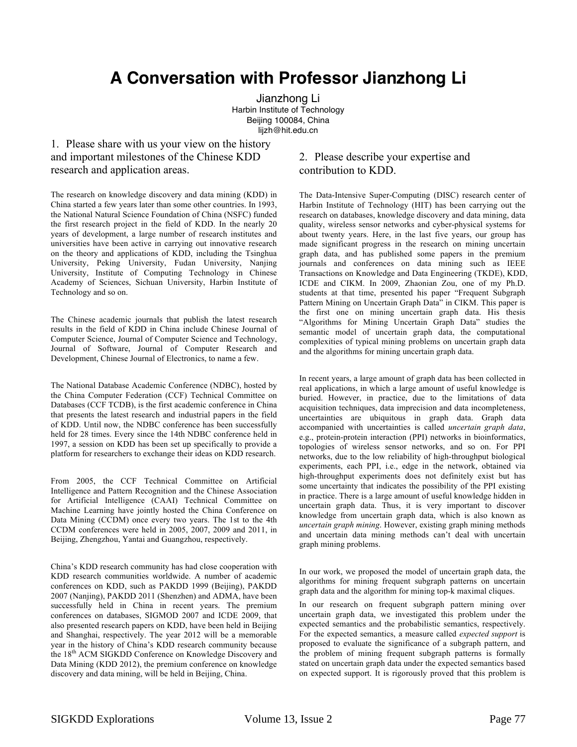# **A Conversation with Professor Jianzhong Li**

Jianzhong Li Harbin Institute of Technology Beijing 100084, China lijzh@hit.edu.cn

## 1. Please share with us your view on the history and important milestones of the Chinese KDD research and application areas.

The research on knowledge discovery and data mining (KDD) in China started a few years later than some other countries. In 1993, the National Natural Science Foundation of China (NSFC) funded the first research project in the field of KDD. In the nearly 20 years of development, a large number of research institutes and universities have been active in carrying out innovative research on the theory and applications of KDD, including the Tsinghua University, Peking University, Fudan University, Nanjing University, Institute of Computing Technology in Chinese Academy of Sciences, Sichuan University, Harbin Institute of Technology and so on.

The Chinese academic journals that publish the latest research results in the field of KDD in China include Chinese Journal of Computer Science, Journal of Computer Science and Technology, Journal of Software, Journal of Computer Research and Development, Chinese Journal of Electronics, to name a few.

The National Database Academic Conference (NDBC), hosted by the China Computer Federation (CCF) Technical Committee on Databases (CCF TCDB), is the first academic conference in China that presents the latest research and industrial papers in the field of KDD. Until now, the NDBC conference has been successfully held for 28 times. Every since the 14th NDBC conference held in 1997, a session on KDD has been set up specifically to provide a platform for researchers to exchange their ideas on KDD research.

From 2005, the CCF Technical Committee on Artificial Intelligence and Pattern Recognition and the Chinese Association for Artificial Intelligence (CAAI) Technical Committee on Machine Learning have jointly hosted the China Conference on Data Mining (CCDM) once every two years. The 1st to the 4th CCDM conferences were held in 2005, 2007, 2009 and 2011, in Beijing, Zhengzhou, Yantai and Guangzhou, respectively.

China's KDD research community has had close cooperation with KDD research communities worldwide. A number of academic conferences on KDD, such as PAKDD 1999 (Beijing), PAKDD 2007 (Nanjing), PAKDD 2011 (Shenzhen) and ADMA, have been successfully held in China in recent years. The premium conferences on databases, SIGMOD 2007 and ICDE 2009, that also presented research papers on KDD, have been held in Beijing and Shanghai, respectively. The year 2012 will be a memorable year in the history of China's KDD research community because the 18<sup>th</sup> ACM SIGKDD Conference on Knowledge Discovery and Data Mining (KDD 2012), the premium conference on knowledge discovery and data mining, will be held in Beijing, China.

## 2. Please describe your expertise and contribution to KDD.

The Data-Intensive Super-Computing (DISC) research center of Harbin Institute of Technology (HIT) has been carrying out the research on databases, knowledge discovery and data mining, data quality, wireless sensor networks and cyber-physical systems for about twenty years. Here, in the last five years, our group has made significant progress in the research on mining uncertain graph data, and has published some papers in the premium journals and conferences on data mining such as IEEE Transactions on Knowledge and Data Engineering (TKDE), KDD, ICDE and CIKM. In 2009, Zhaonian Zou, one of my Ph.D. students at that time, presented his paper "Frequent Subgraph Pattern Mining on Uncertain Graph Data" in CIKM. This paper is the first one on mining uncertain graph data. His thesis "Algorithms for Mining Uncertain Graph Data" studies the semantic model of uncertain graph data, the computational complexities of typical mining problems on uncertain graph data and the algorithms for mining uncertain graph data.

In recent years, a large amount of graph data has been collected in real applications, in which a large amount of useful knowledge is buried. However, in practice, due to the limitations of data acquisition techniques, data imprecision and data incompleteness, uncertainties are ubiquitous in graph data. Graph data accompanied with uncertainties is called *uncertain graph data*, e.g., protein-protein interaction (PPI) networks in bioinformatics, topologies of wireless sensor networks, and so on. For PPI networks, due to the low reliability of high-throughput biological experiments, each PPI, i.e., edge in the network, obtained via high-throughput experiments does not definitely exist but has some uncertainty that indicates the possibility of the PPI existing in practice. There is a large amount of useful knowledge hidden in uncertain graph data. Thus, it is very important to discover knowledge from uncertain graph data, which is also known as *uncertain graph mining*. However, existing graph mining methods and uncertain data mining methods can't deal with uncertain graph mining problems.

In our work, we proposed the model of uncertain graph data, the algorithms for mining frequent subgraph patterns on uncertain graph data and the algorithm for mining top-k maximal cliques.

In our research on frequent subgraph pattern mining over uncertain graph data, we investigated this problem under the expected semantics and the probabilistic semantics, respectively. For the expected semantics, a measure called *expected support* is proposed to evaluate the significance of a subgraph pattern, and the problem of mining frequent subgraph patterns is formally stated on uncertain graph data under the expected semantics based on expected support. It is rigorously proved that this problem is